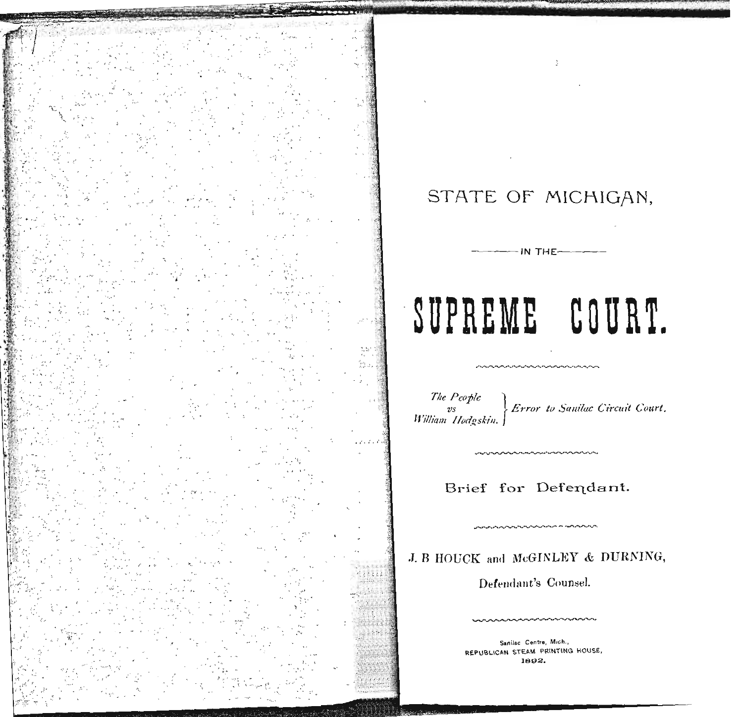# STATE OF MICHIGAN,

 $-$ IN THE $-$ 

# SUPREME COURT.

The Pcople Error to Sanilac Circuit Court. vs<br>William Hodgskin.

بالمراديهم وبالهماء بالممارد بالمتوجب المواجه والمراجم والمراجي والمراجي والمراجين

# Brief for Defendant.

J. B HOUCK and McGINLEY & DURNING,

Defendant's Counsel.

Sanilac Centre, Mich., REPUBLICAN STEAM PRINTING HOUSE, 1892.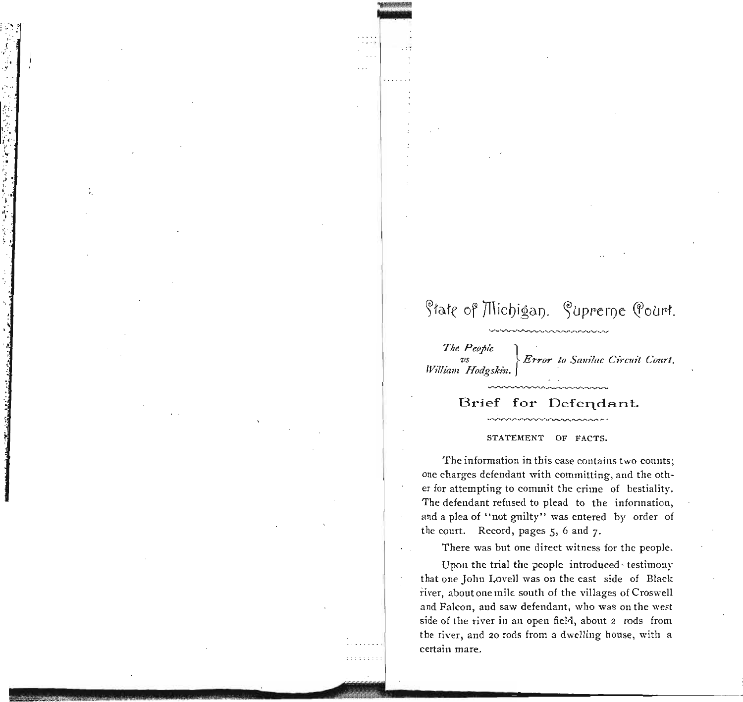# State of Michigan. Supreme Pourt.

" . ,~

',",. • I.',

" :"!. .<br>پ , ,J • 1,,"  $\frac{1}{2}$  ,  $\frac{1}{2}$  $\frac{1}{2}$ 

> ," *The People* } , *vs*  $\}$  *Error to Sanilac Circuit Court. William Hodgskin.*

## Brief for Defendant.

#### STATEMENT OF FACTS.

The information in this case contains two counts; one charges defendant with committing, and the other for attempting to commit the crime of bestiality. The defendant refused to plead to the infonnation, and a plea of "not guilty" was entered by order of the court. Record, pages 5, 6 and 7-

There was but one direct witness for the people.

Upon the trial the people introduced· testimony that one John Lovell was on the east side of Black river, about one mile south of the villages of Croswell and Falcon, and saw defendant, who was on the west side of the river in an open field, about 2 rods from the river, and 20 rods from a dwelling house, with a certain mare.

 $1.111111111$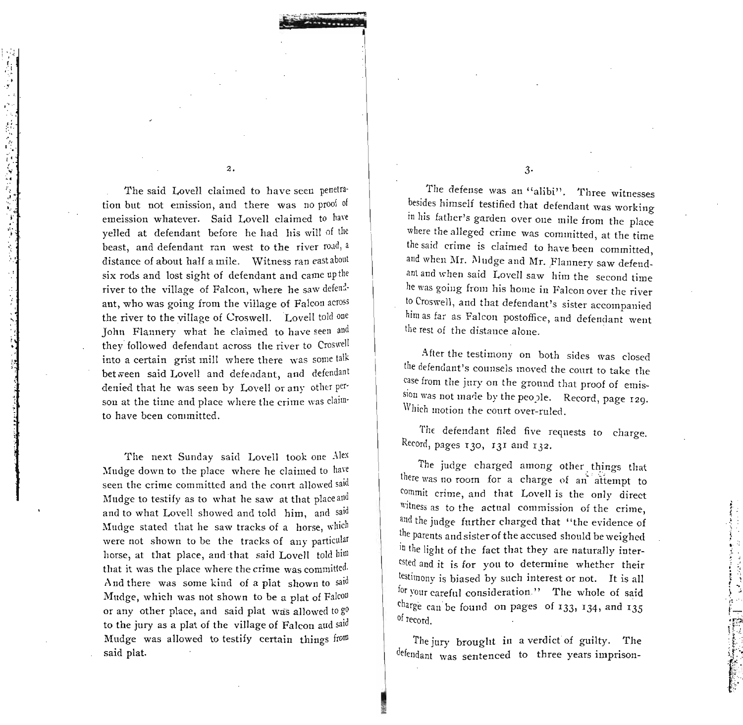The said Lovell claimed to have seen penetration but not emission, and there was no proof of emeission whatever. Said Lovell claimed to have yelled at defendant before he had his will of the beast, and defendant ran west to the river road, a distance of about half a mile. Witness ran east about six rods and lost sight of defendant and came up the river to the village of Falcon, where he saw defendant, who was going from the village of Falcon across the river to the village of Croswell. Lovell told one John Flannery what he claimed to have seen and they followed defendant across the river to Croswell into a certain grist mill where there was some talk between said Lovell and defendant, and defendant denied that he was seen by Lovell or any other person at the time and place where the crime was claimto have been committed.

 $\overline{2}$ .

「一次会の名家を持ったときはたずずも

The next Sunday said Lovell took one Alex Mudge down to the place where he claimed to have seen the crime committed and the court allowed said Mudge to testify as to what he saw at that place and and to what Lovell showed and told him, and said Mudge stated that he saw tracks of a horse, which were not shown to be the tracks of any particular horse, at that place, and that said Lovell told him that it was the place where the crime was committed. And there was some kind of a plat shown to said Mudge, which was not shown to be a plat of Falcon or any other place, and said plat was allowed to go to the jury as a plat of the village of Falcon and said Mudge was allowed to testify certain things from said plat.

 $3 -$ 

The defense was an "alibi". Three witnesses besides himself testified that defendant was working in his father's garden over one mile from the place where the alleged crime was committed, at the time the said crime is claimed to have been committed, and when Mr. Mudge and Mr. Flannery saw defendant and when said Lovell saw him the second time he was going from his home in Falcon over the river to Croswell, and that defendant's sister accompanied him as far as Falcon postoffice, and defendant went the rest of the distance alone.

After the testimony on both sides was closed the defendant's counsels moved the court to take the case from the jury on the ground that proof of emission was not made by the people. Record, page 129. Which motion the court over-ruled.

The defendant filed five requests to charge. Record, pages 130, 131 and 132.

The judge charged among other things that there was no room for a charge of an attempt to commit crime, and that Lovell is the only direct witness as to the actual commission of the crime, and the judge further charged that "the evidence of the parents and sister of the accused should be weighed in the light of the fact that they are naturally interested and it is for you to determine whether their testimony is biased by such interest or not. It is all for your careful consideration." The whole of said charge can be found on pages of 133, 134, and 135 of record.

The jury brought in a verdict of guilty. The defendant was sentenced to three years imprison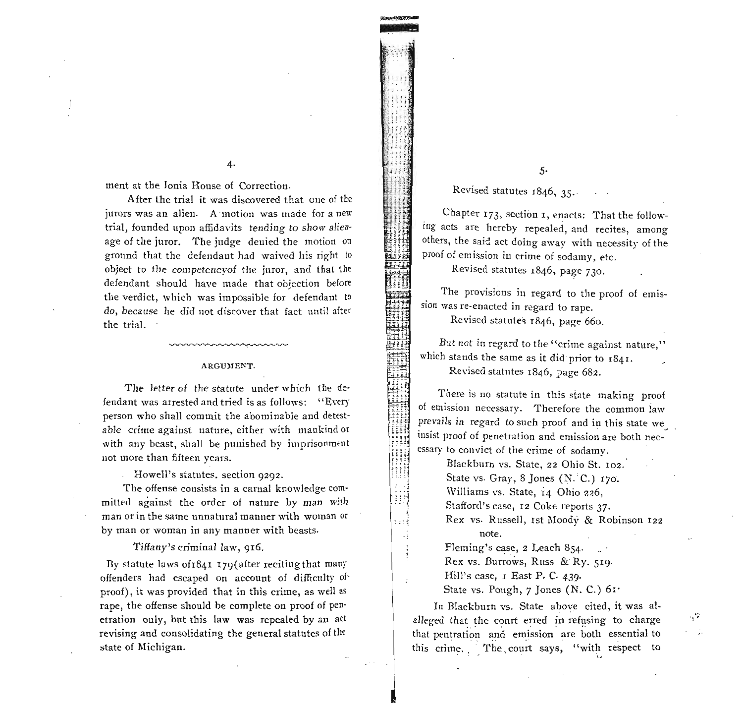$4.$ 

ment at the Jonia House of Correction.

After the trial it was discovered that one of the jurors was an alien. A motion was made for a new trial, founded upon affidavits tending to show alienage of the juror. The judge denied the motion on ground that the defendant had waived his right to object to the competency of the juror, and that the defendant should have made that objection before the verdict, which was impossible for defendant to do, because he did not discover that fact until after the trial.

#### ARGUMENT.

The letter of the statute under which the defendant was arrested and tried is as follows: "Every" person who shall commit the abominable and detestable crime against nature, either with mankind or with any beast, shall be punished by imprisonment not more than fifteen years.

Howell's statutes. section 9292.

The offense consists in a carnal knowledge committed against the order of nature by man with man or in the same unnatural manner with woman or by man or woman in any manner with beasts.

Tiffany's criminal law, 916.

By statute laws of 1841 179 (after reciting that many offenders had escaped on account of difficulty of proof), it was provided that in this crime, as well as rape, the offense should be complete on proof of penetration only, but this law was repealed by an act revising and consolidating the general statutes of the state of Michigan.

 $5.$ 

Revised statutes 1846, 35.

Chapter 173, section 1, enacts: That the following acts are hereby repealed, and recites, among others, the said act doing away with necessity of the proof of emission in crime of sodamy, etc.

Revised statutes 1846, page 730.

The provisions in regard to the proof of emission was re-enacted in regard to rape.

Revised statutes 1846, page 660.

ĦĦ

m

itti

HH.

ijij

ោះ

But not in regard to the "crime against nature," which stands the same as it did prior to  $1841$ . Revised statutes  $1846$ , page 682.

There is no statute in this state making proof of emission necessary. Therefore the common law prevails in regard to such proof and in this state we insist proof of penetration and emission are both necessary to convict of the crime of sodamy.

> Blackburn vs. State, 22 Ohio St. 102. State vs. Gray, 8 Jones (N. C.) 170. Williams vs. State, 14 Ohio 226, Stafford's case, 12 Coke reports 37. Rex vs. Russell, ist Moody & Robinson 122 note.

Fleming's case, 2 Leach 854. Rex vs. Burrows, Russ & Ry. 519. Hill's case, I East P. C. 439. State vs. Pough, 7 Jones (N. C.) 61.

In Blackburn vs. State above cited, it was alalleged that the court erred in refusing to charge that pentration and emission are both essential to this crime. The court says, "with respect to

- 2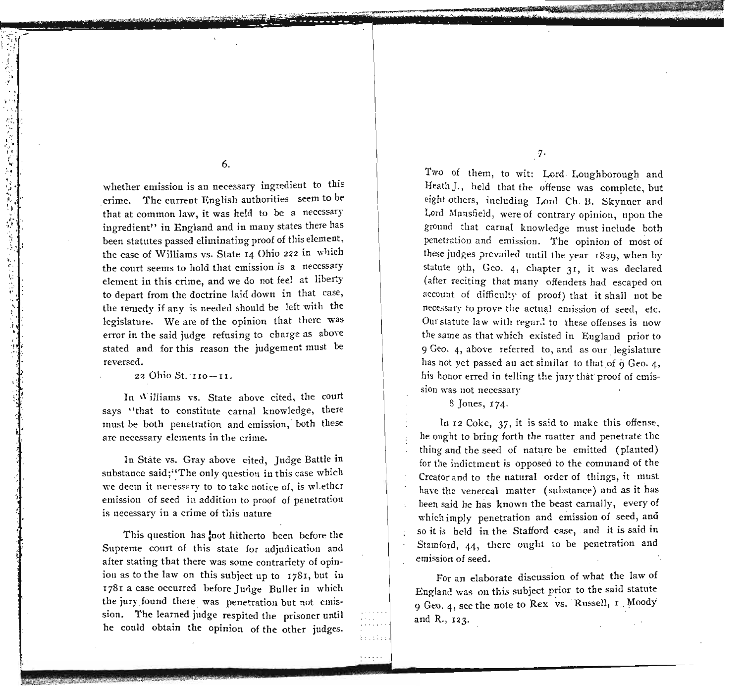6.

whether emission is an necessary ingredient to this ,crime. The current English authorities seem to be that at common law, it was held to be a necessary ingredient" in England and in many states there has been statutes passed eliminating proof of this element, the case of Williams vs. State 14 Ohio 222 in which the court seems to hold that emission is a necessary element in this crime, and we do not feel at liberty to depart from the doctrine laid down in that case, the remedy if any is needed should be left with the legislature. We are of the opinion that there was error in the said judge refusing to charge as above stated and for this reason the judgement must be reversed.

22 Ohio St.'IIO-II.

, :.}:.:, ,~  $\cdot$  ,  $\mathbf{l}$ **',"\**

" ! ..

 $\frac{1}{2}$ 

"

 $\frac{1}{2}$ 

 $\cdot$  . 'O' .

.,

, .. "

 $\cdot$  :

 $\boldsymbol{\lambda}$ 

In Williams vs. State above cited, the court says "that to constitute carnal knowledge, there must be both penetration and emission, both these are necessary elements in the crime.

In State vs. Gray above cited, Judge Battle in substance said;"The only question in this case which we deem it necessary to to take notice of, is wlether emission of seed in addition to proof of penetration is necessary in a crime of this nature

This question has not hitherto been before the Supreme court of this state for adjudication and after stating that there was some contrariety of opinion as to the law on this subject up to  $1781$ , but in 1781 a case occurred before Jurige Buller in which the jury found there was penetration but not emission. The learned judge respited the prisoner until he could obtain the opinion of the other judges.

7·

\_ ",'!i-~:.

Two of them, to wit: Lord· Loughborough and Heath]., held that the offense was complete; but eight others, including Lord Ch B. Skynner and Lord Mansfield, were of contrary opinion, upon the ground that carnal knowledge must include botll penetration and emission. The opinion of most of these judges prevailed until the year 1829, when by statute 9th, Geo. 4, chapter 31, it was declared (after reciting that many offenders had escaped on account of difficulty of proof) that it shall not be necessary to prove the actual emission of seed, etc. Our statute law with regari to these offenses is now the same as that which existed in England prior to 9 Geo. 4, above referred to, and as our legislature has not yet passed an act similar to that of 9 Geo. 4, his honor erred in telling the jury that proof of emission was not necessary

8 Jones, 174.

 $\frac{1}{2}$  ;  $\frac{1}{2}$  ;  $\frac{1}{2}$  ; ;  $1.2.1.1.7$ 

**dIP" ;**

~-~-- '!,... •• <' ,II!N!tIl J.;

In 12 Coke, 37, it is said to make this offense, he ought to bring forth the matter and penetrate the thing and the seed of nature be emitted (planted) for the indictment is opposed to the command of the Creator and to the natural order of things, it must have the venereal matter (substance) and as it has been said he has known the beast carnally, every of which imply penetration and emission of seed, and so it is held in the Stafford case, and it is said in Stamford, 44, there ought to be penetration and emission of seed.

For an elaborate discussion of what the law *or* England was on this subject prior to the said statute 9 Geo. 4, see the note to Rex vs. Russell, I Moody and R., 123.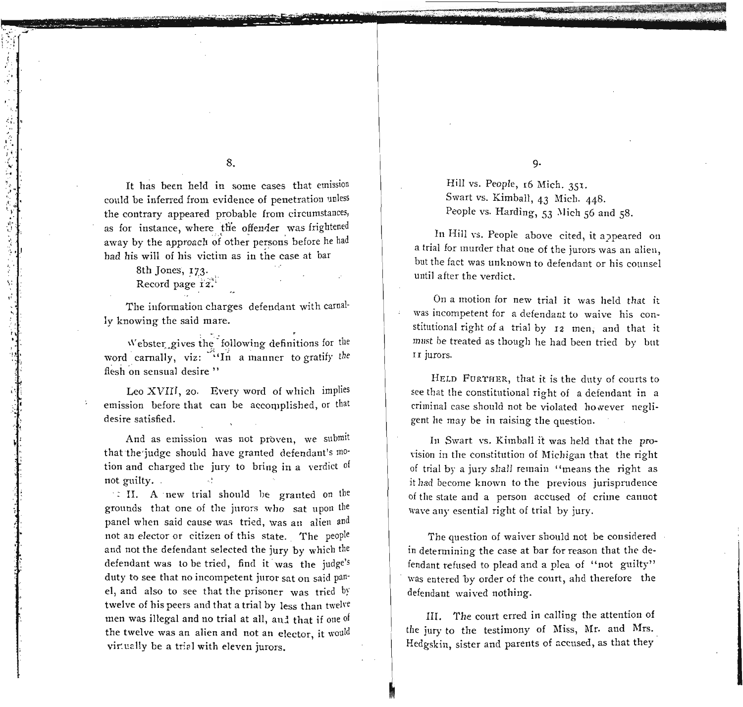## 8.

It has been held in some cases that emission could be inferred from evidence of penetration unless the contrary appeared probable from circumstances, as for instance, where the offender was frightened away by the approach of other persons before he had had his will of his victim as in the case at bar

## 8th Jones, 173.

'.. \ ":.(  $\mathbb{R}^2$  .

> .', ..

医高度发展

 $\cdot$  ,  $+1^\circ$  $^\circ\,$  .

',:

" ,

> $\cdot$ ; **" i**  $\mathbf{P}$

> > .: <sup>j</sup>  $\cdot$  : .'  $\cdot$  1.

> > > $\ddot{\phantom{a}}$

.'

Record page 12.

The information charges defendant with carnal· ly knowing the said mare.

Webster gives the following definitions for the word carnally, viz:  $\ddot{ }$  In a manner to gratify the flesh on sensual desire"

Leo XVIII, 20. Every word of which implies emission before that can be accomplished, or that desire satisfied.

And as emission was not proven, we submit that the'judge should have granted defendant's mo' tion and charged the jury to bring in a verdict of not guilty.

.: II. A' new trial shonld he granted on the grounds that one of tbe jnrors who sat npon the panel when said cause was tried, was an alien and not an elector or citizen of this state. The people and not the defendant selected the jury by which the defendant was to be tried, find it was the judge's duty to see that no incompetent juror sat on said pan' el, and also to see that the prisoner was tried by twelve of his peers and that a trial by less than twelre men was illegal and no trial at all, and that if one of the twelve was an alien and not an elector, it would virtually be a trial with eleven jurors.

9·

Hill vs. People, 16 Mich. 351. Swart vs. Kimball, 43 Mich. 448. People vs. Harding, 53 Mich 56 and 58.

In Hill vs. People above cited, it appeared on a trial for murder that one of the jurors was an alien, but the fact was unknown to defendant or his counsel until after the verdict.

On a motion for new trial it was held that it was incompetent for a defendant to waive his constitutional right of a trial by 12 men, and that it must be treated as though he had been tried by bnt II jurors.

HELD FURTHER, that it is the duty of courts to see that the constitutional right of a defendant in a criminal case should not be violated however negligent he may be in raising the question.

In Swart vs. Kimball it was held that the provision in the constitution of Michigan that the right of trial by a jury shall remain "means the right as it had become known to the previous jurisprndence of the state and a person accused of crime cannot wave any esential right of trial by jury.

The question of waiver shonld not be considered in determining the case at bar for reason that the defendant refused to plead and a plea of "not guilty" was entered by order of the court, ahd therefore the defendant waived nothing.

III. The court erred in calling the attention of the jury to the testimony of Miss, Mr. and Mrs. Hedgskin, sister and parents of accused, as that they